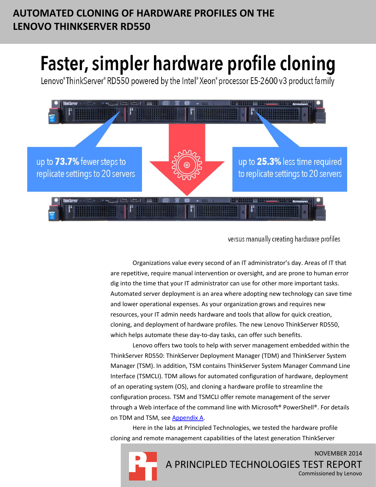# **AUTOMATED CLONING OF HARDWARE PROFILES ON THE LENOVO THINKSERVER RD550**

# Faster, simpler hardware profile cloning

Lenovo®ThinkServer®RD550 powered by the Intel®Xeon®processor E5-2600 v3 product family



versus manually creating hardware profiles

Organizations value every second of an IT administrator's day. Areas of IT that are repetitive, require manual intervention or oversight, and are prone to human error dig into the time that your IT administrator can use for other more important tasks. Automated server deployment is an area where adopting new technology can save time and lower operational expenses. As your organization grows and requires new resources, your IT admin needs hardware and tools that allow for quick creation, cloning, and deployment of hardware profiles. The new Lenovo ThinkServer RD550, which helps automate these day-to-day tasks, can offer such benefits.

Lenovo offers two tools to help with server management embedded within the ThinkServer RD550: ThinkServer Deployment Manager (TDM) and ThinkServer System Manager (TSM). In addition, TSM contains ThinkServer System Manager Command Line Interface (TSMCLI). TDM allows for automated configuration of hardware, deployment of an operating system (OS), and cloning a hardware profile to streamline the configuration process. TSM and TSMCLI offer remote management of the server through a Web interface of the command line with Microsoft® PowerShell®. For details on TDM and TSM, see [Appendix A.](#page-6-0)

Here in the labs at Principled Technologies, we tested the hardware profile cloning and remote management capabilities of the latest generation ThinkServer

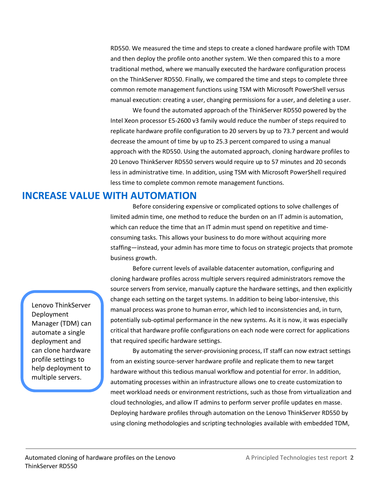RD550. We measured the time and steps to create a cloned hardware profile with TDM and then deploy the profile onto another system. We then compared this to a more traditional method, where we manually executed the hardware configuration process on the ThinkServer RD550. Finally, we compared the time and steps to complete three common remote management functions using TSM with Microsoft PowerShell versus manual execution: creating a user, changing permissions for a user, and deleting a user.

We found the automated approach of the ThinkServer RD550 powered by the Intel Xeon processor E5-2600 v3 family would reduce the number of steps required to replicate hardware profile configuration to 20 servers by up to 73.7 percent and would decrease the amount of time by up to 25.3 percent compared to using a manual approach with the RD550. Using the automated approach, cloning hardware profiles to 20 Lenovo ThinkServer RD550 servers would require up to 57 minutes and 20 seconds less in administrative time. In addition, using TSM with Microsoft PowerShell required less time to complete common remote management functions.

# **INCREASE VALUE WITH AUTOMATION**

Before considering expensive or complicated options to solve challenges of limited admin time, one method to reduce the burden on an IT admin is automation, which can reduce the time that an IT admin must spend on repetitive and timeconsuming tasks. This allows your business to do more without acquiring more staffing—instead, your admin has more time to focus on strategic projects that promote business growth.

Before current levels of available datacenter automation, configuring and cloning hardware profiles across multiple servers required administrators remove the source servers from service, manually capture the hardware settings, and then explicitly change each setting on the target systems. In addition to being labor-intensive, this manual process was prone to human error, which led to inconsistencies and, in turn, potentially sub-optimal performance in the new systems. As it is now, it was especially critical that hardware profile configurations on each node were correct for applications that required specific hardware settings.

By automating the server-provisioning process, IT staff can now extract settings from an existing source-server hardware profile and replicate them to new target hardware without this tedious manual workflow and potential for error. In addition, automating processes within an infrastructure allows one to create customization to meet workload needs or environment restrictions, such as those from virtualization and cloud technologies, and allow IT admins to perform server profile updates en masse. Deploying hardware profiles through automation on the Lenovo ThinkServer RD550 by using cloning methodologies and scripting technologies available with embedded TDM,

Lenovo ThinkServer Deployment Manager (TDM) can automate a single deployment and can clone hardware profile settings to help deployment to multiple servers.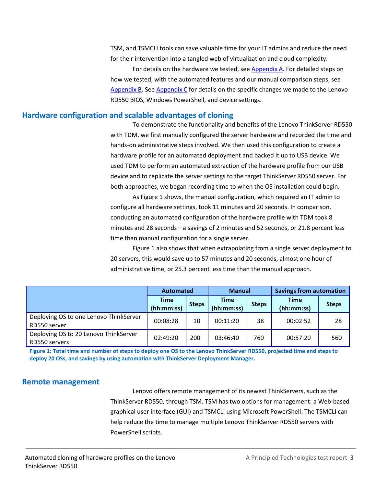TSM, and TSMCLI tools can save valuable time for your IT admins and reduce the need for their intervention into a tangled web of virtualization and cloud complexity.

For details on the hardware we tested, se[e Appendix A.](#page-6-0) For detailed steps on how we tested, with the automated features and our manual comparison steps, see [Appendix B.](#page-8-0) Se[e Appendix C](#page-10-0) for details on the specific changes we made to the Lenovo RD550 BIOS, Windows PowerShell, and device settings.

#### **Hardware configuration and scalable advantages of cloning**

To demonstrate the functionality and benefits of the Lenovo ThinkServer RD550 with TDM, we first manually configured the server hardware and recorded the time and hands-on administrative steps involved. We then used this configuration to create a hardware profile for an automated deployment and backed it up to USB device. We used TDM to perform an automated extraction of the hardware profile from our USB device and to replicate the server settings to the target ThinkServer RD550 server. For both approaches, we began recording time to when the OS installation could begin.

As Figure 1 shows, the manual configuration, which required an IT admin to configure all hardware settings, took 11 minutes and 20 seconds. In comparison, conducting an automated configuration of the hardware profile with TDM took 8 minutes and 28 seconds—a savings of 2 minutes and 52 seconds, or 21.8 percent less time than manual configuration for a single server.

Figure 1 also shows that when extrapolating from a single server deployment to 20 servers, this would save up to 57 minutes and 20 seconds, almost one hour of administrative time, or 25.3 percent less time than the manual approach.

|                                                        | <b>Automated</b>          |              | <b>Manual</b>             |              | <b>Savings from automation</b> |              |
|--------------------------------------------------------|---------------------------|--------------|---------------------------|--------------|--------------------------------|--------------|
|                                                        | <b>Time</b><br>(hh:mm:ss) | <b>Steps</b> | <b>Time</b><br>(hh:mm:ss) | <b>Steps</b> | <b>Time</b><br>(hh:mm:ss)      | <b>Steps</b> |
| Deploying OS to one Lenovo ThinkServer<br>RD550 server | 00:08:28                  | 10           | 00:11:20                  | 38           | 00:02:52                       | 28           |
| Deploying OS to 20 Lenovo ThinkServer<br>RD550 servers | 02:49:20                  | 200          | 03:46:40                  | 760          | 00:57:20                       | 560          |

**Figure 1: Total time and number of steps to deploy one OS to the Lenovo ThinkServer RD550, projected time and steps to deploy 20 OSs, and savings by using automation with ThinkServer Deployment Manager.**

#### **Remote management**

Lenovo offers remote management of its newest ThinkServers, such as the ThinkServer RD550, through TSM. TSM has two options for management: a Web-based graphical user interface (GUI) and TSMCLI using Microsoft PowerShell. The TSMCLI can help reduce the time to manage multiple Lenovo ThinkServer RD550 servers with PowerShell scripts.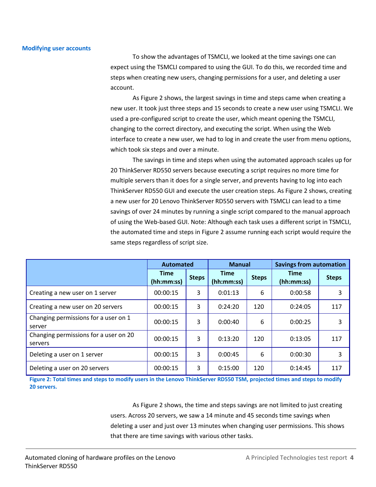#### **Modifying user accounts**

To show the advantages of TSMCLI, we looked at the time savings one can expect using the TSMCLI compared to using the GUI. To do this, we recorded time and steps when creating new users, changing permissions for a user, and deleting a user account.

As Figure 2 shows, the largest savings in time and steps came when creating a new user. It took just three steps and 15 seconds to create a new user using TSMCLI. We used a pre-configured script to create the user, which meant opening the TSMCLI, changing to the correct directory, and executing the script. When using the Web interface to create a new user, we had to log in and create the user from menu options, which took six steps and over a minute.

The savings in time and steps when using the automated approach scales up for 20 ThinkServer RD550 servers because executing a script requires no more time for multiple servers than it does for a single server, and prevents having to log into each ThinkServer RD550 GUI and execute the user creation steps. As Figure 2 shows, creating a new user for 20 Lenovo ThinkServer RD550 servers with TSMCLI can lead to a time savings of over 24 minutes by running a single script compared to the manual approach of using the Web-based GUI. Note: Although each task uses a different script in TSMCLI, the automated time and steps in Figure 2 assume running each script would require the same steps regardless of script size.

|                                                  | Automated                 |              | <b>Manual</b>             |              | <b>Savings from automation</b> |              |
|--------------------------------------------------|---------------------------|--------------|---------------------------|--------------|--------------------------------|--------------|
|                                                  | <b>Time</b><br>(hh:mm:ss) | <b>Steps</b> | <b>Time</b><br>(hh:mm:ss) | <b>Steps</b> | <b>Time</b><br>(hh:mm:ss)      | <b>Steps</b> |
| Creating a new user on 1 server                  | 00:00:15                  | 3            | 0:01:13                   | 6            | 0:00:58                        | 3            |
| Creating a new user on 20 servers                | 00:00:15                  | 3            | 0:24:20                   | 120          | 0:24:05                        | 117          |
| Changing permissions for a user on 1<br>server   | 00:00:15                  | 3            | 0:00:40                   | 6            | 0:00:25                        | 3            |
| Changing permissions for a user on 20<br>servers | 00:00:15                  | 3            | 0:13:20                   | 120          | 0:13:05                        | 117          |
| Deleting a user on 1 server                      | 00:00:15                  | 3            | 0:00:45                   | 6            | 0:00:30                        | 3            |
| Deleting a user on 20 servers                    | 00:00:15                  | 3            | 0:15:00                   | 120          | 0:14:45                        | 117          |

**Figure 2: Total times and steps to modify users in the Lenovo ThinkServer RD550 TSM, projected times and steps to modify 20 servers.**

> As Figure 2 shows, the time and steps savings are not limited to just creating users. Across 20 servers, we saw a 14 minute and 45 seconds time savings when deleting a user and just over 13 minutes when changing user permissions. This shows that there are time savings with various other tasks.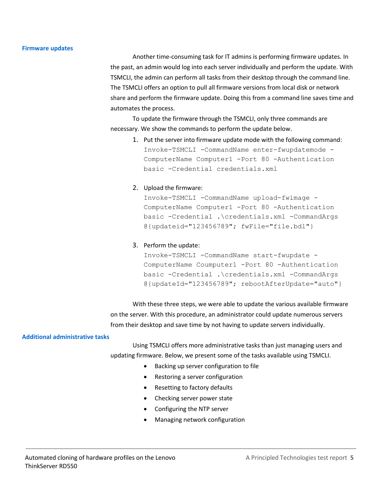#### **Firmware updates**

Another time-consuming task for IT admins is performing firmware updates. In the past, an admin would log into each server individually and perform the update. With TSMCLI, the admin can perform all tasks from their desktop through the command line. The TSMCLI offers an option to pull all firmware versions from local disk or network share and perform the firmware update. Doing this from a command line saves time and automates the process.

To update the firmware through the TSMCLI, only three commands are necessary. We show the commands to perform the update below.

> 1. Put the server into firmware update mode with the following command: Invoke-TSMCLI -CommandName enter-fwupdatemode - ComputerName Computer1 -Port 80 -Authentication basic -Credential credentials.xml

#### 2. Upload the firmware:

Invoke-TSMCLI -CommandName upload-fwimage - ComputerName Computer1 -Port 80 -Authentication basic -Credential .\credentials.xml -CommandArgs @{updateid="123456789"; fwFile="file.bdl"}

#### 3. Perform the update:

Invoke-TSMCLI -CommandName start-fwupdate - ComputerName Coumputer1 -Port 80 -Authentication basic -Credential .\credentials.xml -CommandArgs @{updateId="123456789"; rebootAfterUpdate="auto"}

With these three steps, we were able to update the various available firmware on the server. With this procedure, an administrator could update numerous servers from their desktop and save time by not having to update servers individually.

#### **Additional administrative tasks**

Using TSMCLI offers more administrative tasks than just managing users and updating firmware. Below, we present some of the tasks available using TSMCLI.

- Backing up server configuration to file
- Restoring a server configuration
- Resetting to factory defaults
- Checking server power state
- Configuring the NTP server
- Managing network configuration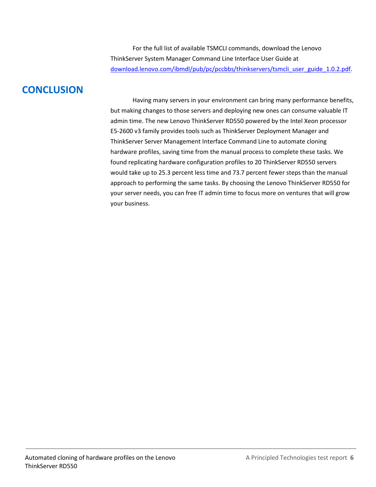For the full list of available TSMCLI commands, download the Lenovo ThinkServer System Manager Command Line Interface User Guide at [download.lenovo.com/ibmdl/pub/pc/pccbbs/thinkservers/tsmcli\\_user\\_guide\\_1.0.2.pdf.](http://download.lenovo.com/ibmdl/pub/pc/pccbbs/thinkservers/tsmcli_user_guide_1.0.2.pdf)

# **CONCLUSION**

Having many servers in your environment can bring many performance benefits, but making changes to those servers and deploying new ones can consume valuable IT admin time. The new Lenovo ThinkServer RD550 powered by the Intel Xeon processor E5-2600 v3 family provides tools such as ThinkServer Deployment Manager and ThinkServer Server Management Interface Command Line to automate cloning hardware profiles, saving time from the manual process to complete these tasks. We found replicating hardware configuration profiles to 20 ThinkServer RD550 servers would take up to 25.3 percent less time and 73.7 percent fewer steps than the manual approach to performing the same tasks. By choosing the Lenovo ThinkServer RD550 for your server needs, you can free IT admin time to focus more on ventures that will grow your business.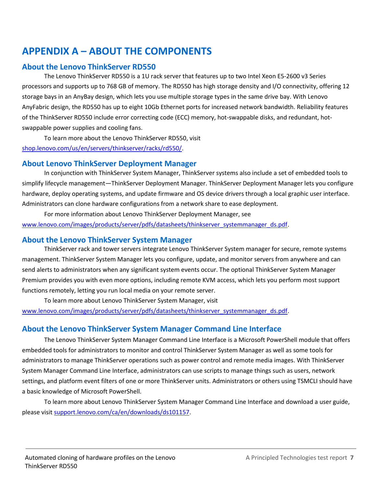# <span id="page-6-0"></span>**APPENDIX A – ABOUT THE COMPONENTS**

## **About the Lenovo ThinkServer RD550**

The Lenovo ThinkServer RD550 is a 1U rack server that features up to two Intel Xeon E5-2600 v3 Series processors and supports up to 768 GB of memory. The RD550 has high storage density and I/O connectivity, offering 12 storage bays in an AnyBay design, which lets you use multiple storage types in the same drive bay. With Lenovo AnyFabric design, the RD550 has up to eight 10Gb Ethernet ports for increased network bandwidth. Reliability features of the ThinkServer RD550 include error correcting code (ECC) memory, hot-swappable disks, and redundant, hotswappable power supplies and cooling fans.

To learn more about the Lenovo ThinkServer RD550, visit [shop.lenovo.com/us/en/servers/thinkserver/racks/rd550/.](http://shop.lenovo.com/us/en/servers/thinkserver/racks/rd550/)

## **About Lenovo ThinkServer Deployment Manager**

In conjunction with ThinkServer System Manager, ThinkServer systems also include a set of embedded tools to simplify lifecycle management—ThinkServer Deployment Manager. ThinkServer Deployment Manager lets you configure hardware, deploy operating systems, and update firmware and OS device drivers through a local graphic user interface. Administrators can clone hardware configurations from a network share to ease deployment.

For more information about Lenovo ThinkServer Deployment Manager, see [www.lenovo.com/images/products/server/pdfs/datasheets/thinkserver\\_systemmanager\\_ds.pdf.](http://www.lenovo.com/images/products/server/pdfs/datasheets/thinkserver_systemmanager_ds.pdf)

## **About the Lenovo ThinkServer System Manager**

ThinkServer rack and tower servers integrate Lenovo ThinkServer System manager for secure, remote systems management. ThinkServer System Manager lets you configure, update, and monitor servers from anywhere and can send alerts to administrators when any significant system events occur. The optional ThinkServer System Manager Premium provides you with even more options, including remote KVM access, which lets you perform most support functions remotely, letting you run local media on your remote server.

To learn more about Lenovo ThinkServer System Manager, visit [www.lenovo.com/images/products/server/pdfs/datasheets/thinkserver\\_systemmanager\\_ds.pdf.](http://www.lenovo.com/images/products/server/pdfs/datasheets/thinkserver_systemmanager_ds.pdf)

## **About the Lenovo ThinkServer System Manager Command Line Interface**

The Lenovo ThinkServer System Manager Command Line Interface is a Microsoft PowerShell module that offers embedded tools for administrators to monitor and control ThinkServer System Manager as well as some tools for administrators to manage ThinkServer operations such as power control and remote media images. With ThinkServer System Manager Command Line Interface, administrators can use scripts to manage things such as users, network settings, and platform event filters of one or more ThinkServer units. Administrators or others using TSMCLI should have a basic knowledge of Microsoft PowerShell.

To learn more about Lenovo ThinkServer System Manager Command Line Interface and download a user guide, please visit [support.lenovo.com/ca/en/downloads/ds101157.](http://support.lenovo.com/ca/en/downloads/ds101157)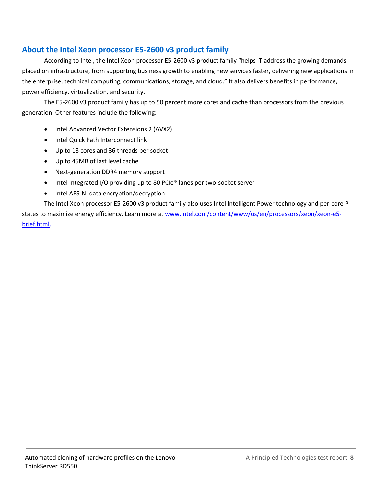## **About the Intel Xeon processor E5-2600 v3 product family**

According to Intel, the Intel Xeon processor E5-2600 v3 product family "helps IT address the growing demands placed on infrastructure, from supporting business growth to enabling new services faster, delivering new applications in the enterprise, technical computing, communications, storage, and cloud." It also delivers benefits in performance, power efficiency, virtualization, and security.

The E5-2600 v3 product family has up to 50 percent more cores and cache than processors from the previous generation. Other features include the following:

- Intel Advanced Vector Extensions 2 (AVX2)
- Intel Quick Path Interconnect link
- Up to 18 cores and 36 threads per socket
- Up to 45MB of last level cache
- Next-generation DDR4 memory support
- Intel Integrated I/O providing up to 80 PCIe® lanes per two-socket server
- Intel AES-NI data encryption/decryption

The Intel Xeon processor E5-2600 v3 product family also uses Intel Intelligent Power technology and per-core P states to maximize energy efficiency. Learn more a[t www.intel.com/content/www/us/en/processors/xeon/xeon-e5](http://www.intel.com/content/www/us/en/processors/xeon/xeon-e5-brief.html) [brief.html.](http://www.intel.com/content/www/us/en/processors/xeon/xeon-e5-brief.html)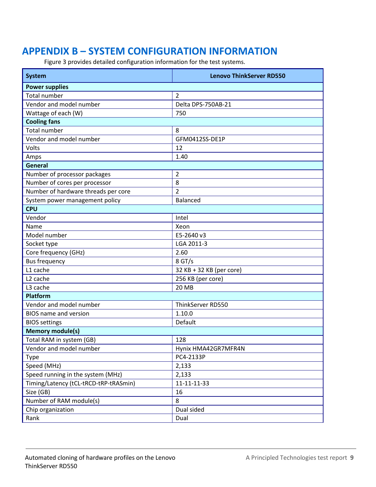# <span id="page-8-0"></span>**APPENDIX B – SYSTEM CONFIGURATION INFORMATION**

Figure 3 provides detailed configuration information for the test systems.

| <b>System</b>                         | <b>Lenovo ThinkServer RD550</b> |  |  |
|---------------------------------------|---------------------------------|--|--|
| <b>Power supplies</b>                 |                                 |  |  |
| <b>Total number</b>                   | $\overline{2}$                  |  |  |
| Vendor and model number               | Delta DPS-750AB-21              |  |  |
| Wattage of each (W)                   | 750                             |  |  |
| <b>Cooling fans</b>                   |                                 |  |  |
| <b>Total number</b>                   | 8                               |  |  |
| Vendor and model number               | GFM0412SS-DE1P                  |  |  |
| Volts                                 | 12                              |  |  |
| Amps                                  | 1.40                            |  |  |
| General                               |                                 |  |  |
| Number of processor packages          | $\overline{2}$                  |  |  |
| Number of cores per processor         | 8                               |  |  |
| Number of hardware threads per core   | $\overline{2}$                  |  |  |
| System power management policy        | <b>Balanced</b>                 |  |  |
| <b>CPU</b>                            |                                 |  |  |
| Vendor                                | Intel                           |  |  |
| Name                                  | Xeon                            |  |  |
| Model number                          | E5-2640 v3                      |  |  |
| Socket type                           | LGA 2011-3                      |  |  |
| Core frequency (GHz)                  | 2.60                            |  |  |
| <b>Bus frequency</b>                  | $8$ GT/s                        |  |  |
| L1 cache                              | 32 KB + 32 KB (per core)        |  |  |
| L <sub>2</sub> cache                  | 256 KB (per core)               |  |  |
| L3 cache                              | <b>20 MB</b>                    |  |  |
| Platform                              |                                 |  |  |
| Vendor and model number               | ThinkServer RD550               |  |  |
| <b>BIOS</b> name and version          | 1.10.0                          |  |  |
| <b>BIOS settings</b>                  | Default                         |  |  |
| <b>Memory module(s)</b>               |                                 |  |  |
| Total RAM in system (GB)              | 128                             |  |  |
| Vendor and model number               | Hynix HMA42GR7MFR4N             |  |  |
| <b>Type</b>                           | PC4-2133P                       |  |  |
| Speed (MHz)                           | 2,133                           |  |  |
| Speed running in the system (MHz)     | 2,133                           |  |  |
| Timing/Latency (tCL-tRCD-tRP-tRASmin) | 11-11-11-33                     |  |  |
| Size (GB)                             | 16                              |  |  |
| Number of RAM module(s)               | 8                               |  |  |
| Chip organization                     | Dual sided                      |  |  |
| Rank                                  | Dual                            |  |  |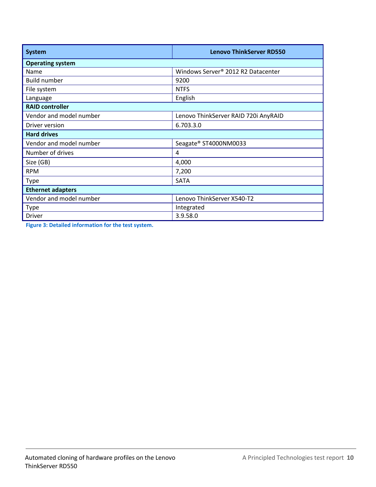| <b>System</b>            | <b>Lenovo ThinkServer RD550</b>                |  |  |  |
|--------------------------|------------------------------------------------|--|--|--|
| <b>Operating system</b>  |                                                |  |  |  |
| Name                     | Windows Server <sup>®</sup> 2012 R2 Datacenter |  |  |  |
| <b>Build number</b>      | 9200                                           |  |  |  |
| File system              | <b>NTFS</b>                                    |  |  |  |
| Language                 | English                                        |  |  |  |
| <b>RAID controller</b>   |                                                |  |  |  |
| Vendor and model number  | Lenovo ThinkServer RAID 720i AnyRAID           |  |  |  |
| Driver version           | 6.703.3.0                                      |  |  |  |
| <b>Hard drives</b>       |                                                |  |  |  |
| Vendor and model number  | Seagate® ST4000NM0033                          |  |  |  |
| Number of drives         | 4                                              |  |  |  |
| Size (GB)                | 4,000                                          |  |  |  |
| <b>RPM</b>               | 7,200                                          |  |  |  |
| Type                     | <b>SATA</b>                                    |  |  |  |
| <b>Ethernet adapters</b> |                                                |  |  |  |
| Vendor and model number  | Lenovo ThinkServer X540-T2                     |  |  |  |
| Type                     | Integrated                                     |  |  |  |
| <b>Driver</b>            | 3.9.58.0                                       |  |  |  |

**Figure 3: Detailed information for the test system.**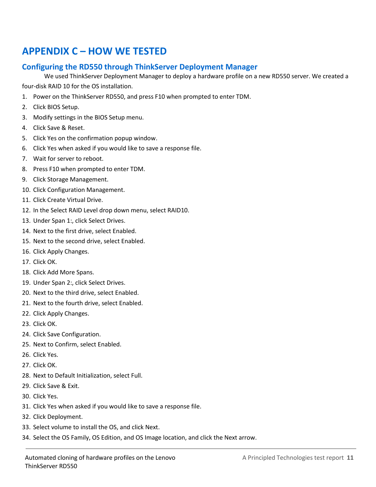# <span id="page-10-0"></span>**APPENDIX C – HOW WE TESTED**

# **Configuring the RD550 through ThinkServer Deployment Manager**

We used ThinkServer Deployment Manager to deploy a hardware profile on a new RD550 server. We created a four-disk RAID 10 for the OS installation.

- 1. Power on the ThinkServer RD550, and press F10 when prompted to enter TDM.
- 2. Click BIOS Setup.
- 3. Modify settings in the BIOS Setup menu.
- 4. Click Save & Reset.
- 5. Click Yes on the confirmation popup window.
- 6. Click Yes when asked if you would like to save a response file.
- 7. Wait for server to reboot.
- 8. Press F10 when prompted to enter TDM.
- 9. Click Storage Management.
- 10. Click Configuration Management.
- 11. Click Create Virtual Drive.
- 12. In the Select RAID Level drop down menu, select RAID10.
- 13. Under Span 1:, click Select Drives.
- 14. Next to the first drive, select Enabled.
- 15. Next to the second drive, select Enabled.
- 16. Click Apply Changes.
- 17. Click OK.
- 18. Click Add More Spans.
- 19. Under Span 2:, click Select Drives.
- 20. Next to the third drive, select Enabled.
- 21. Next to the fourth drive, select Enabled.
- 22. Click Apply Changes.
- 23. Click OK.
- 24. Click Save Configuration.
- 25. Next to Confirm, select Enabled.
- 26. Click Yes.
- 27. Click OK.
- 28. Next to Default Initialization, select Full.
- 29. Click Save & Exit.
- 30. Click Yes.
- 31. Click Yes when asked if you would like to save a response file.
- 32. Click Deployment.
- 33. Select volume to install the OS, and click Next.
- 34. Select the OS Family, OS Edition, and OS Image location, and click the Next arrow.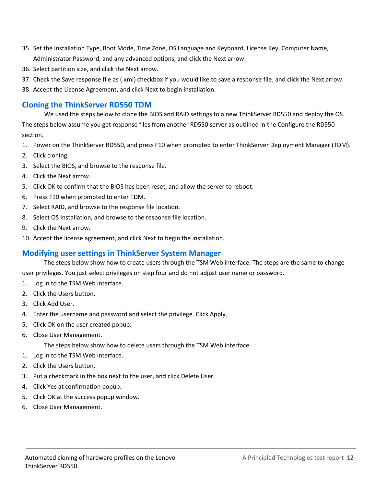- 35. Set the Installation Type, Boot Mode, Time Zone, OS Language and Keyboard, License Key, Computer Name, Administrator Password, and any advanced options, and click the Next arrow.
- 36. Select partition size, and click the Next arrow.
- 37. Check the Save response file as (.xml) checkbox if you would like to save a response file, and click the Next arrow.
- 38. Accept the License Agreement, and click Next to begin installation.

### **Cloning the ThinkServer RD550 TDM**

We used the steps below to clone the BIOS and RAID settings to a new ThinkServer RD550 and deploy the OS. The steps below assume you get response files from another RD550 server as outlined in the Configure the RD550 section.

- 1. Power on the ThinkServer RD550, and press F10 when prompted to enter ThinkServer Deployment Manager (TDM).
- 2. Click cloning.
- 3. Select the BIOS, and browse to the response file.
- 4. Click the Next arrow.
- 5. Click OK to confirm that the BIOS has been reset, and allow the server to reboot.
- 6. Press F10 when prompted to enter TDM.
- 7. Select RAID, and browse to the response file location.
- 8. Select OS Installation, and browse to the response file location.
- 9. Click the Next arrow.
- 10. Accept the license agreement, and click Next to begin the installation.

## **Modifying user settings in ThinkServer System Manager**

The steps below show how to create users through the TSM Web interface. The steps are the same to change

user privileges. You just select privileges on step four and do not adjust user name or password.

- 1. Log in to the TSM Web interface.
- 2. Click the Users button.
- 3. Click Add User.
- 4. Enter the username and password and select the privilege. Click Apply.
- 5. Click OK on the user created popup.
- 6. Close User Management.

The steps below show how to delete users through the TSM Web interface.

- 1. Log in to the TSM Web interface.
- 2. Click the Users button.
- 3. Put a checkmark in the box next to the user, and click Delete User.
- 4. Click Yes at confirmation popup.
- 5. Click OK at the success popup window.
- 6. Close User Management.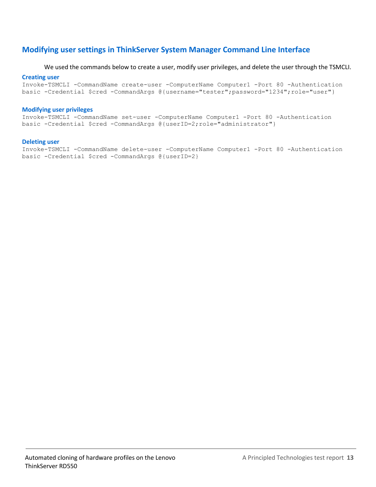## **Modifying user settings in ThinkServer System Manager Command Line Interface**

#### We used the commands below to create a user, modify user privileges, and delete the user through the TSMCLI.

#### **Creating user**

Invoke-TSMCLI -CommandName create-user -ComputerName Computer1 -Port 80 -Authentication basic -Credential \$cred -CommandArgs @{username="tester";password="1234";role="user"}

#### **Modifying user privileges**

Invoke-TSMCLI -CommandName set-user -ComputerName Computer1 -Port 80 -Authentication basic -Credential \$cred -CommandArgs @{userID=2;role="administrator"}

#### **Deleting user**

Invoke-TSMCLI -CommandName delete-user -ComputerName Computer1 -Port 80 -Authentication basic -Credential \$cred -CommandArgs @{userID=2}